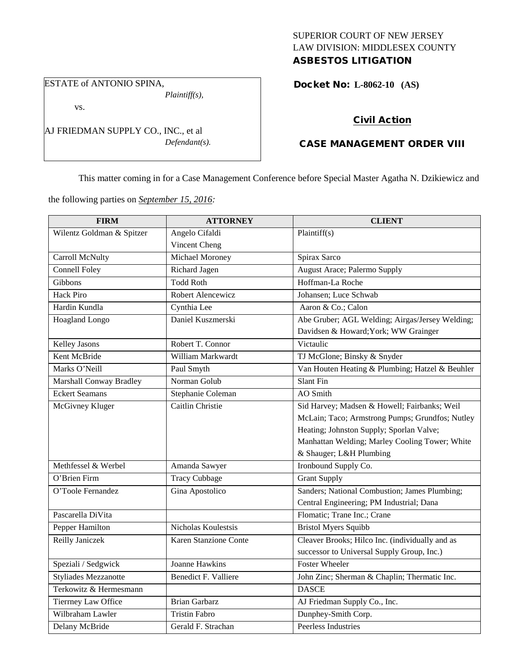## SUPERIOR COURT OF NEW JERSEY LAW DIVISION: MIDDLESEX COUNTY ASBESTOS LITIGATION

ESTATE of ANTONIO SPINA,

*Plaintiff(s),*

vs.

AJ FRIEDMAN SUPPLY CO., INC., et al *Defendant(s).*

## Docket No: **L-8062-10 (AS)**

# Civil Action

# CASE MANAGEMENT ORDER VIII

This matter coming in for a Case Management Conference before Special Master Agatha N. Dzikiewicz and

the following parties on *September 15, 2016:*

| <b>FIRM</b>                 | <b>ATTORNEY</b>       | <b>CLIENT</b>                                   |
|-----------------------------|-----------------------|-------------------------------------------------|
| Wilentz Goldman & Spitzer   | Angelo Cifaldi        | Plaintiff(s)                                    |
|                             | Vincent Cheng         |                                                 |
| Carroll McNulty             | Michael Moroney       | Spirax Sarco                                    |
| <b>Connell Foley</b>        | Richard Jagen         | <b>August Arace; Palermo Supply</b>             |
| Gibbons                     | <b>Todd Roth</b>      | Hoffman-La Roche                                |
| <b>Hack Piro</b>            | Robert Alencewicz     | Johansen; Luce Schwab                           |
| Hardin Kundla               | Cynthia Lee           | Aaron & Co.; Calon                              |
| Hoagland Longo              | Daniel Kuszmerski     | Abe Gruber; AGL Welding; Airgas/Jersey Welding; |
|                             |                       | Davidsen & Howard; York; WW Grainger            |
| Kelley Jasons               | Robert T. Connor      | Victaulic                                       |
| Kent McBride                | William Markwardt     | TJ McGlone; Binsky & Snyder                     |
| Marks O'Neill               | Paul Smyth            | Van Houten Heating & Plumbing; Hatzel & Beuhler |
| Marshall Conway Bradley     | Norman Golub          | Slant Fin                                       |
| <b>Eckert Seamans</b>       | Stephanie Coleman     | AO Smith                                        |
| McGivney Kluger             | Caitlin Christie      | Sid Harvey; Madsen & Howell; Fairbanks; Weil    |
|                             |                       | McLain; Taco; Armstrong Pumps; Grundfos; Nutley |
|                             |                       | Heating; Johnston Supply; Sporlan Valve;        |
|                             |                       | Manhattan Welding; Marley Cooling Tower; White  |
|                             |                       | & Shauger; L&H Plumbing                         |
| Methfessel & Werbel         | Amanda Sawyer         | Ironbound Supply Co.                            |
| O'Brien Firm                | <b>Tracy Cubbage</b>  | <b>Grant Supply</b>                             |
| O'Toole Fernandez           | Gina Apostolico       | Sanders; National Combustion; James Plumbing;   |
|                             |                       | Central Engineering; PM Industrial; Dana        |
| Pascarella DiVita           |                       | Flomatic; Trane Inc.; Crane                     |
| Pepper Hamilton             | Nicholas Koulestsis   | <b>Bristol Myers Squibb</b>                     |
| Reilly Janiczek             | Karen Stanzione Conte | Cleaver Brooks; Hilco Inc. (individually and as |
|                             |                       | successor to Universal Supply Group, Inc.)      |
| Speziali / Sedgwick         | <b>Joanne Hawkins</b> | <b>Foster Wheeler</b>                           |
| <b>Styliades Mezzanotte</b> | Benedict F. Valliere  | John Zinc; Sherman & Chaplin; Thermatic Inc.    |
| Terkowitz & Hermesmann      |                       | <b>DASCE</b>                                    |
| <b>Tierrney Law Office</b>  | <b>Brian Garbarz</b>  | AJ Friedman Supply Co., Inc.                    |
| Wilbraham Lawler            | <b>Tristin Fabro</b>  | Dunphey-Smith Corp.                             |
| Delany McBride              | Gerald F. Strachan    | Peerless Industries                             |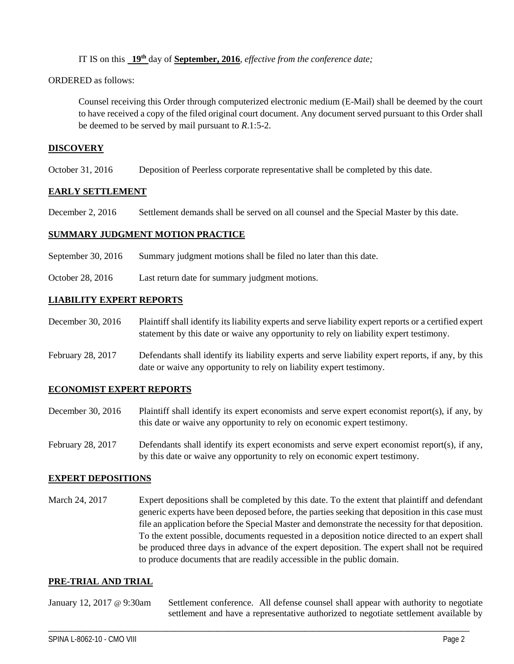IT IS on this **19th** day of **September, 2016**, *effective from the conference date;*

ORDERED as follows:

Counsel receiving this Order through computerized electronic medium (E-Mail) shall be deemed by the court to have received a copy of the filed original court document. Any document served pursuant to this Order shall be deemed to be served by mail pursuant to *R*.1:5-2.

## **DISCOVERY**

October 31, 2016 Deposition of Peerless corporate representative shall be completed by this date.

#### **EARLY SETTLEMENT**

December 2, 2016 Settlement demands shall be served on all counsel and the Special Master by this date.

#### **SUMMARY JUDGMENT MOTION PRACTICE**

September 30, 2016 Summary judgment motions shall be filed no later than this date.

October 28, 2016 Last return date for summary judgment motions.

## **LIABILITY EXPERT REPORTS**

December 30, 2016 Plaintiff shall identify its liability experts and serve liability expert reports or a certified expert statement by this date or waive any opportunity to rely on liability expert testimony.

February 28, 2017 Defendants shall identify its liability experts and serve liability expert reports, if any, by this date or waive any opportunity to rely on liability expert testimony.

## **ECONOMIST EXPERT REPORTS**

- December 30, 2016 Plaintiff shall identify its expert economists and serve expert economist report(s), if any, by this date or waive any opportunity to rely on economic expert testimony.
- February 28, 2017 Defendants shall identify its expert economists and serve expert economist report(s), if any, by this date or waive any opportunity to rely on economic expert testimony.

## **EXPERT DEPOSITIONS**

March 24, 2017 Expert depositions shall be completed by this date. To the extent that plaintiff and defendant generic experts have been deposed before, the parties seeking that deposition in this case must file an application before the Special Master and demonstrate the necessity for that deposition. To the extent possible, documents requested in a deposition notice directed to an expert shall be produced three days in advance of the expert deposition. The expert shall not be required to produce documents that are readily accessible in the public domain.

## **PRE-TRIAL AND TRIAL**

January 12, 2017 @ 9:30am Settlement conference. All defense counsel shall appear with authority to negotiate settlement and have a representative authorized to negotiate settlement available by

\_\_\_\_\_\_\_\_\_\_\_\_\_\_\_\_\_\_\_\_\_\_\_\_\_\_\_\_\_\_\_\_\_\_\_\_\_\_\_\_\_\_\_\_\_\_\_\_\_\_\_\_\_\_\_\_\_\_\_\_\_\_\_\_\_\_\_\_\_\_\_\_\_\_\_\_\_\_\_\_\_\_\_\_\_\_\_\_\_\_\_\_\_\_\_\_\_\_\_\_\_\_\_\_\_\_\_\_\_\_